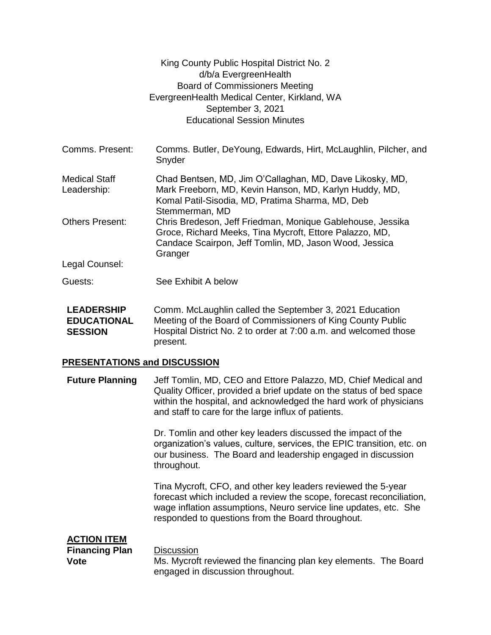|                                                           | King County Public Hospital District No. 2<br>d/b/a EvergreenHealth<br><b>Board of Commissioners Meeting</b><br>EvergreenHealth Medical Center, Kirkland, WA<br>September 3, 2021<br><b>Educational Session Minutes</b> |  |
|-----------------------------------------------------------|-------------------------------------------------------------------------------------------------------------------------------------------------------------------------------------------------------------------------|--|
|                                                           |                                                                                                                                                                                                                         |  |
| Comms. Present:                                           | Comms. Butler, DeYoung, Edwards, Hirt, McLaughlin, Pilcher, and<br>Snyder                                                                                                                                               |  |
| <b>Medical Staff</b><br>Leadership:                       | Chad Bentsen, MD, Jim O'Callaghan, MD, Dave Likosky, MD,<br>Mark Freeborn, MD, Kevin Hanson, MD, Karlyn Huddy, MD,<br>Komal Patil-Sisodia, MD, Pratima Sharma, MD, Deb<br>Stemmerman, MD                                |  |
| <b>Others Present:</b>                                    | Chris Bredeson, Jeff Friedman, Monique Gablehouse, Jessika<br>Groce, Richard Meeks, Tina Mycroft, Ettore Palazzo, MD,<br>Candace Scairpon, Jeff Tomlin, MD, Jason Wood, Jessica<br>Granger                              |  |
| Legal Counsel:                                            |                                                                                                                                                                                                                         |  |
| Guests:                                                   | See Exhibit A below                                                                                                                                                                                                     |  |
| <b>LEADERSHIP</b><br><b>EDUCATIONAL</b><br><b>SESSION</b> | Comm. McLaughlin called the September 3, 2021 Education<br>Meeting of the Board of Commissioners of King County Public<br>Hospital District No. 2 to order at 7:00 a.m. and welcomed those<br>present.                  |  |
| <b>PRESENTATIONS and DISCUSSION</b>                       |                                                                                                                                                                                                                         |  |

**Future Planning** Jeff Tomlin, MD, CEO and Ettore Palazzo, MD, Chief Medical and Quality Officer, provided a brief update on the status of bed space within the hospital, and acknowledged the hard work of physicians and staff to care for the large influx of patients.

> Dr. Tomlin and other key leaders discussed the impact of the organization's values, culture, services, the EPIC transition, etc. on our business. The Board and leadership engaged in discussion throughout.

> Tina Mycroft, CFO, and other key leaders reviewed the 5-year forecast which included a review the scope, forecast reconciliation, wage inflation assumptions, Neuro service line updates, etc. She responded to questions from the Board throughout.

## **ACTION ITEM**

**Financing Plan Vote**

**Discussion** 

Ms. Mycroft reviewed the financing plan key elements. The Board engaged in discussion throughout.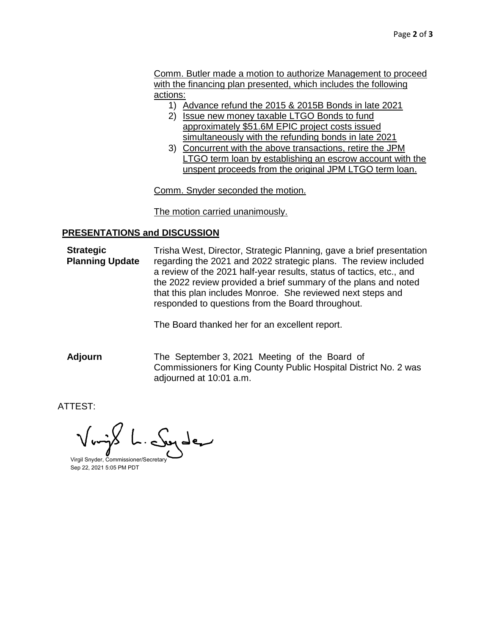Comm. Butler made a motion to authorize Management to proceed with the financing plan presented, which includes the following actions:

- 1) Advance refund the 2015 & 2015B Bonds in late 2021
- 2) Issue new money taxable LTGO Bonds to fund approximately \$51.6M EPIC project costs issued simultaneously with the refunding bonds in late 2021
- 3) Concurrent with the above transactions, retire the JPM LTGO term loan by establishing an escrow account with the unspent proceeds from the original JPM LTGO term loan.

Comm. Snyder seconded the motion.

## The motion carried unanimously.

## **PRESENTATIONS and DISCUSSION**

**Strategic Planning Update** Trisha West, Director, Strategic Planning, gave a brief presentation regarding the 2021 and 2022 strategic plans. The review included a review of the 2021 half-year results, status of tactics, etc., and the 2022 review provided a brief summary of the plans and noted that this plan includes Monroe. She reviewed next steps and responded to questions from the Board throughout.

The Board thanked her for an excellent report.

**Adjourn** The September 3, 2021 Meeting of the Board of Commissioners for King County Public Hospital District No. 2 was adjourned at 10:01 a.m.

ATTEST:

بمبرطيب

Virgil Snyder, Commissioner/Secretary Sep 22, 2021 5:05 PM PDT